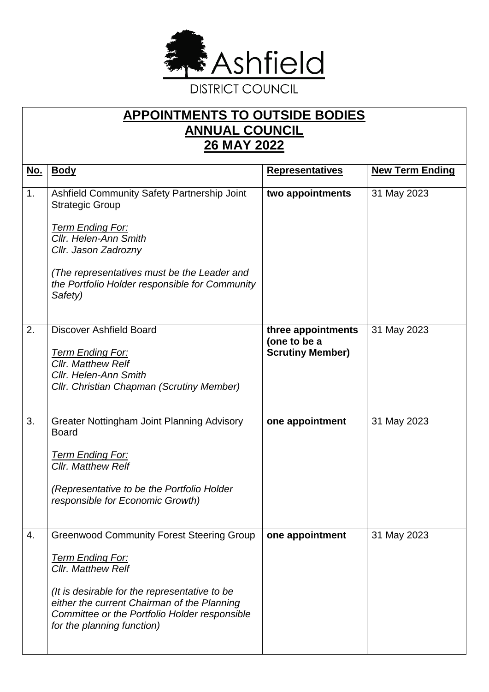

## **APPOINTMENTS TO OUTSIDE BODIES ANNUAL COUNCIL 26 MAY 2022**

| <u>No.</u> | <b>Body</b>                                                                                                                                                                                                                                                                             | <b>Representatives</b>                                        | <b>New Term Ending</b> |
|------------|-----------------------------------------------------------------------------------------------------------------------------------------------------------------------------------------------------------------------------------------------------------------------------------------|---------------------------------------------------------------|------------------------|
| 1.         | Ashfield Community Safety Partnership Joint<br><b>Strategic Group</b><br><u> Term Ending For:</u><br>Cllr. Helen-Ann Smith<br>Cllr. Jason Zadrozny<br>(The representatives must be the Leader and<br>the Portfolio Holder responsible for Community<br>Safety)                          | two appointments                                              | 31 May 2023            |
| 2.         | <b>Discover Ashfield Board</b><br>Term Ending For:<br><b>Cllr. Matthew Relf</b><br><b>Cllr. Helen-Ann Smith</b><br><b>Cllr. Christian Chapman (Scrutiny Member)</b>                                                                                                                     | three appointments<br>(one to be a<br><b>Scrutiny Member)</b> | 31 May 2023            |
| 3.         | <b>Greater Nottingham Joint Planning Advisory</b><br><b>Board</b><br><u> Term Ending For:</u><br><b>Cllr. Matthew Relf</b><br>(Representative to be the Portfolio Holder<br>responsible for Economic Growth)                                                                            | one appointment                                               | 31 May 2023            |
| 4.         | <b>Greenwood Community Forest Steering Group</b><br><b>Term Ending For:</b><br><b>Cllr. Matthew Relf</b><br>(It is desirable for the representative to be<br>either the current Chairman of the Planning<br>Committee or the Portfolio Holder responsible<br>for the planning function) | one appointment                                               | 31 May 2023            |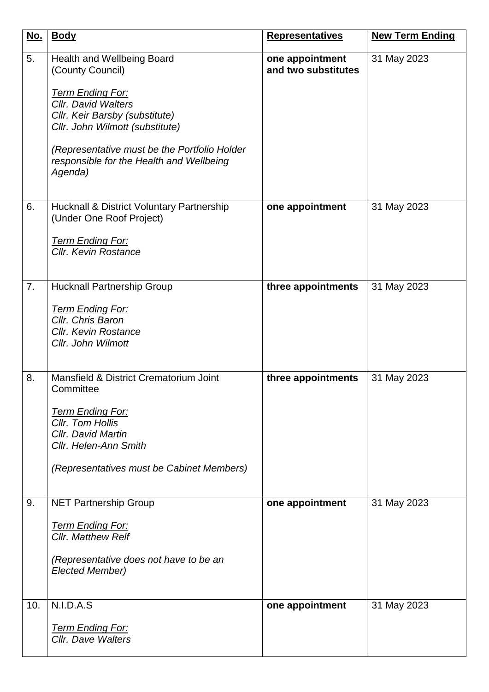| <u>No.</u> | <b>Body</b>                                                                                                                                                                                                                                                                         | <b>Representatives</b>                 | <b>New Term Ending</b> |
|------------|-------------------------------------------------------------------------------------------------------------------------------------------------------------------------------------------------------------------------------------------------------------------------------------|----------------------------------------|------------------------|
| 5.         | Health and Wellbeing Board<br>(County Council)<br><b>Term Ending For:</b><br><b>Cllr. David Walters</b><br>Cllr. Keir Barsby (substitute)<br>Cllr. John Wilmott (substitute)<br>(Representative must be the Portfolio Holder<br>responsible for the Health and Wellbeing<br>Agenda) | one appointment<br>and two substitutes | 31 May 2023            |
| 6.         | <b>Hucknall &amp; District Voluntary Partnership</b><br>(Under One Roof Project)<br><b>Term Ending For:</b><br><b>Cllr. Kevin Rostance</b>                                                                                                                                          | one appointment                        | 31 May 2023            |
| 7.         | <b>Hucknall Partnership Group</b><br><b>Term Ending For:</b><br>Cllr. Chris Baron<br><b>Cllr. Kevin Rostance</b><br>Cllr. John Wilmott                                                                                                                                              | three appointments                     | 31 May 2023            |
| 8.         | Mansfield & District Crematorium Joint<br>Committee<br><b>Term Ending For:</b><br>Cllr. Tom Hollis<br>Cllr. David Martin<br>Cllr. Helen-Ann Smith<br>(Representatives must be Cabinet Members)                                                                                      | three appointments                     | 31 May 2023            |
| 9.         | <b>NET Partnership Group</b><br><b>Term Ending For:</b><br><b>Cllr. Matthew Relf</b><br>(Representative does not have to be an<br><b>Elected Member)</b>                                                                                                                            | one appointment                        | 31 May 2023            |
| 10.        | N.I.D.A.S<br><b>Term Ending For:</b><br>Cllr. Dave Walters                                                                                                                                                                                                                          | one appointment                        | 31 May 2023            |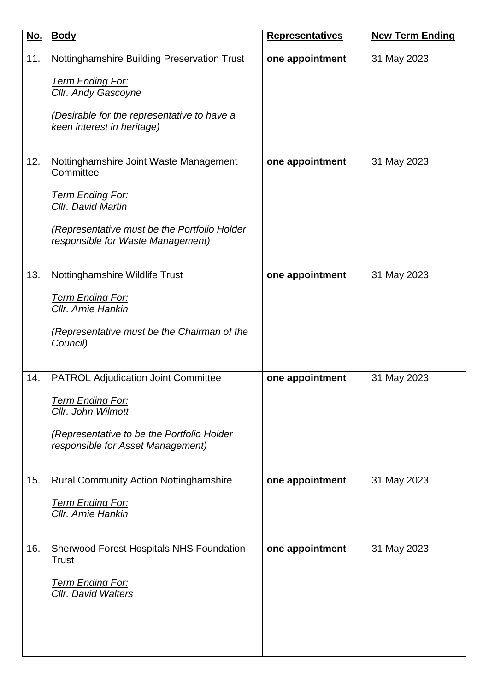| <u>No.</u> | <b>Body</b>                                                                       | <b>Representatives</b> | <b>New Term Ending</b> |
|------------|-----------------------------------------------------------------------------------|------------------------|------------------------|
| 11.        | Nottinghamshire Building Preservation Trust                                       | one appointment        | 31 May 2023            |
|            | Term Ending For:                                                                  |                        |                        |
|            | Cllr. Andy Gascoyne                                                               |                        |                        |
|            | (Desirable for the representative to have a<br>keen interest in heritage)         |                        |                        |
|            |                                                                                   |                        |                        |
| 12.        | Nottinghamshire Joint Waste Management<br>Committee                               | one appointment        | 31 May 2023            |
|            | <b>Term Ending For:</b><br>Cllr. David Martin                                     |                        |                        |
|            | (Representative must be the Portfolio Holder<br>responsible for Waste Management) |                        |                        |
|            |                                                                                   |                        |                        |
| 13.        | Nottinghamshire Wildlife Trust                                                    | one appointment        | 31 May 2023            |
|            | <b>Term Ending For:</b><br>Cllr. Arnie Hankin                                     |                        |                        |
|            | (Representative must be the Chairman of the<br>Council)                           |                        |                        |
|            |                                                                                   |                        |                        |
| 14.        | <b>PATROL Adjudication Joint Committee</b>                                        | one appointment        | 31 May 2023            |
|            | Term Ending For:<br>Cllr. John Wilmott                                            |                        |                        |
|            | (Representative to be the Portfolio Holder<br>responsible for Asset Management)   |                        |                        |
| 15.        | <b>Rural Community Action Nottinghamshire</b>                                     | one appointment        | 31 May 2023            |
|            | <u> Term Ending For:</u><br>Cllr. Arnie Hankin                                    |                        |                        |
|            |                                                                                   |                        |                        |
| 16.        | <b>Sherwood Forest Hospitals NHS Foundation</b>                                   | one appointment        | 31 May 2023            |
|            | <b>Trust</b>                                                                      |                        |                        |
|            | <u>Term Ending For:</u><br><b>Cllr.</b> David Walters                             |                        |                        |
|            |                                                                                   |                        |                        |
|            |                                                                                   |                        |                        |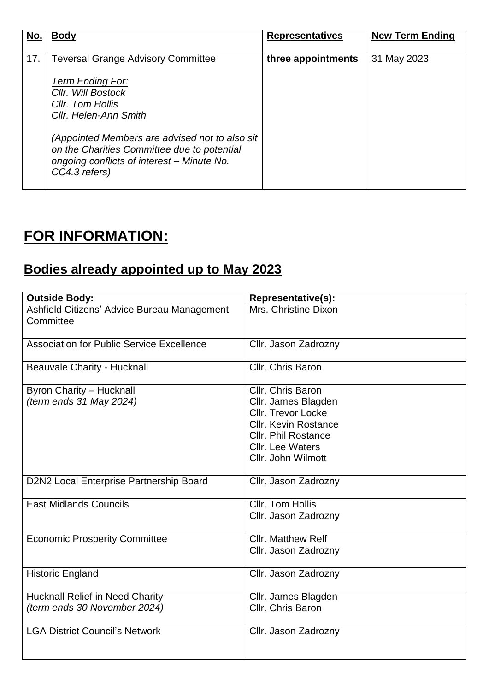| No. | <b>Body</b>                                                                                                                                                  | <b>Representatives</b> | <b>New Term Ending</b> |
|-----|--------------------------------------------------------------------------------------------------------------------------------------------------------------|------------------------|------------------------|
| 17. | <b>Teversal Grange Advisory Committee</b>                                                                                                                    | three appointments     | 31 May 2023            |
|     | <b>Term Ending For:</b><br>Cllr. Will Bostock<br>Cllr. Tom Hollis<br>Cllr. Helen-Ann Smith                                                                   |                        |                        |
|     | (Appointed Members are advised not to also sit<br>on the Charities Committee due to potential<br>ongoing conflicts of interest – Minute No.<br>CC4.3 refers) |                        |                        |

## **FOR INFORMATION:**

## **Bodies already appointed up to May 2023**

| <b>Outside Body:</b>                                                   | <b>Representative(s):</b>                                                                                                                                                           |
|------------------------------------------------------------------------|-------------------------------------------------------------------------------------------------------------------------------------------------------------------------------------|
| Ashfield Citizens' Advice Bureau Management<br>Committee               | Mrs. Christine Dixon                                                                                                                                                                |
| <b>Association for Public Service Excellence</b>                       | Cllr. Jason Zadrozny                                                                                                                                                                |
| <b>Beauvale Charity - Hucknall</b>                                     | Cllr. Chris Baron                                                                                                                                                                   |
| <b>Byron Charity - Hucknall</b><br>(term ends 31 May 2024)             | Cllr. Chris Baron<br>Cllr. James Blagden<br><b>Cllr. Trevor Locke</b><br><b>Cllr. Kevin Rostance</b><br><b>Cllr. Phil Rostance</b><br><b>Cllr.</b> Lee Waters<br>Cllr. John Wilmott |
| D2N2 Local Enterprise Partnership Board                                | Cllr. Jason Zadrozny                                                                                                                                                                |
| <b>East Midlands Councils</b>                                          | Cllr. Tom Hollis<br>Cllr. Jason Zadrozny                                                                                                                                            |
| <b>Economic Prosperity Committee</b>                                   | <b>Cllr. Matthew Relf</b><br>Cllr. Jason Zadrozny                                                                                                                                   |
| <b>Historic England</b>                                                | Cllr. Jason Zadrozny                                                                                                                                                                |
| <b>Hucknall Relief in Need Charity</b><br>(term ends 30 November 2024) | Cllr. James Blagden<br>Cllr. Chris Baron                                                                                                                                            |
| <b>LGA District Council's Network</b>                                  | Cllr. Jason Zadrozny                                                                                                                                                                |